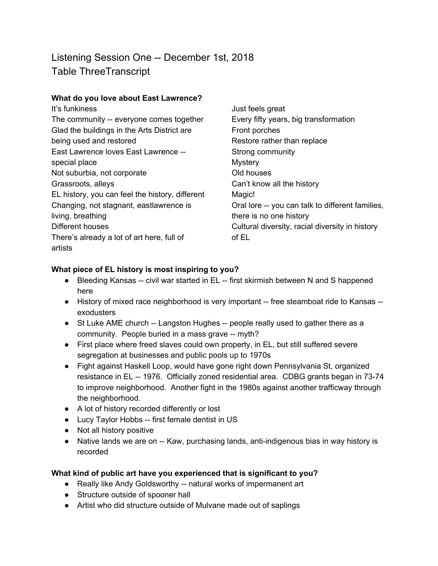# Listening Session One -- December 1st, 2018 Table ThreeTranscript

#### **What do you love about East Lawrence?**

| It's funkiness                                  | Just feels great                                 |
|-------------------------------------------------|--------------------------------------------------|
| The community -- everyone comes together        | Every fifty years, big transformation            |
| Glad the buildings in the Arts District are     | Front porches                                    |
| being used and restored                         | Restore rather than replace                      |
| East Lawrence loves East Lawrence --            | Strong community                                 |
| special place                                   | <b>Mystery</b>                                   |
| Not suburbia, not corporate                     | Old houses                                       |
| Grassroots, alleys                              | Can't know all the history                       |
| EL history, you can feel the history, different | Magic!                                           |
| Changing, not stagnant, eastlawrence is         | Oral lore -- you can talk to different families, |
| living, breathing                               | there is no one history                          |
| Different houses                                | Cultural diversity, racial diversity in history  |
| There's already a lot of art here, full of      | of EL                                            |
| artists                                         |                                                  |

## **What piece of EL history is most inspiring to you?**

- Bleeding Kansas -- civil war started in EL -- first skirmish between N and S happened here
- History of mixed race neighborhood is very important -- free steamboat ride to Kansas -exodusters
- St Luke AME church -- Langston Hughes -- people really used to gather there as a community. People buried in a mass grave -- myth?
- First place where freed slaves could own property, in EL, but still suffered severe segregation at businesses and public pools up to 1970s
- Fight against Haskell Loop, would have gone right down Pennsylvania St, organized resistance in EL -- 1976. Officially zoned residential area. CDBG grants began in 73-74 to improve neighborhood. Another fight in the 1980s against another trafficway through the neighborhood.
- A lot of history recorded differently or lost
- Lucy Taylor Hobbs -- first female dentist in US
- Not all history positive
- Native lands we are on -- Kaw, purchasing lands, anti-indigenous bias in way history is recorded

## **What kind of public art have you experienced that is significant to you?**

- Really like Andy Goldsworthy -- natural works of impermanent art
- Structure outside of spooner hall
- Artist who did structure outside of Mulvane made out of saplings